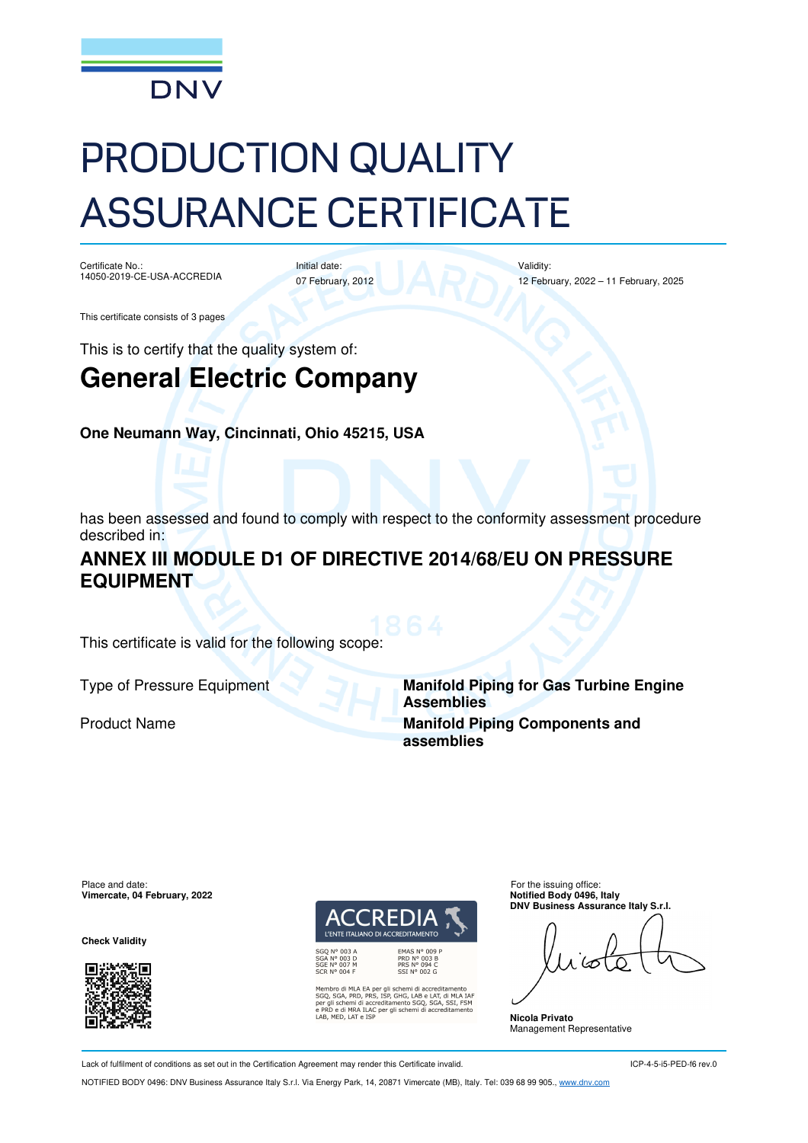

# PRODUCTION QUALITY ASSURANCE CERTIFICATE

Certificate No.: 14050-2019-CE-USA-ACCREDIA

Initial date: 07 February, 2012 Validity: 12 February, 2022 – 11 February, 2025

This certificate consists of 3 pages

This is to certify that the quality system of:

## **General Electric Company**

**One Neumann Way, Cincinnati, Ohio 45215, USA**

has been assessed and found to comply with respect to the conformity assessment procedure described in:

### **ANNEX III MODULE D1 OF DIRECTIVE 2014/68/EU ON PRESSURE EQUIPMENT**

This certificate is valid for the following scope:

Type of Pressure Equipment **Manifold Piping for Gas Turbine Engine Assemblies Product Name <b>Manifold Piping Components and Manifold Piping Components and assemblies**

Place and date:<br> **Place and date:** For the issuing office:<br> **Place and date:** For the issuing office:<br> **Place and date:** For the issuing office: **Vimercate, 04 February, 2022** 

**Check Validity** 





bro di MLA EA per gli schemi di accreditamento<br>, SGA, PRD, PRS, ISP, GHG, LAB e LAT, di MLA IAF<br>,ili schemi di accreditamento SGQ, SGA, SSI, FSM<br>D e di MRA ILAC per gli schemi di accreditamento<br>MED, LAT e ISP

**DNV Business Assurance Italy S.r.l.** 

**Nicola Privato**  Management Representative

Lack of fulfilment of conditions as set out in the Certification Agreement may render this Certificate invalid.

ICP-4-5-i5-PED-f6 rev.0

NOTIFIED BODY 0496: DNV Business Assurance Italy S.r.l. Via Energy Park, 14, 20871 Vimercate (MB), Italy. Tel: 039 68 99 905., www.dnv.com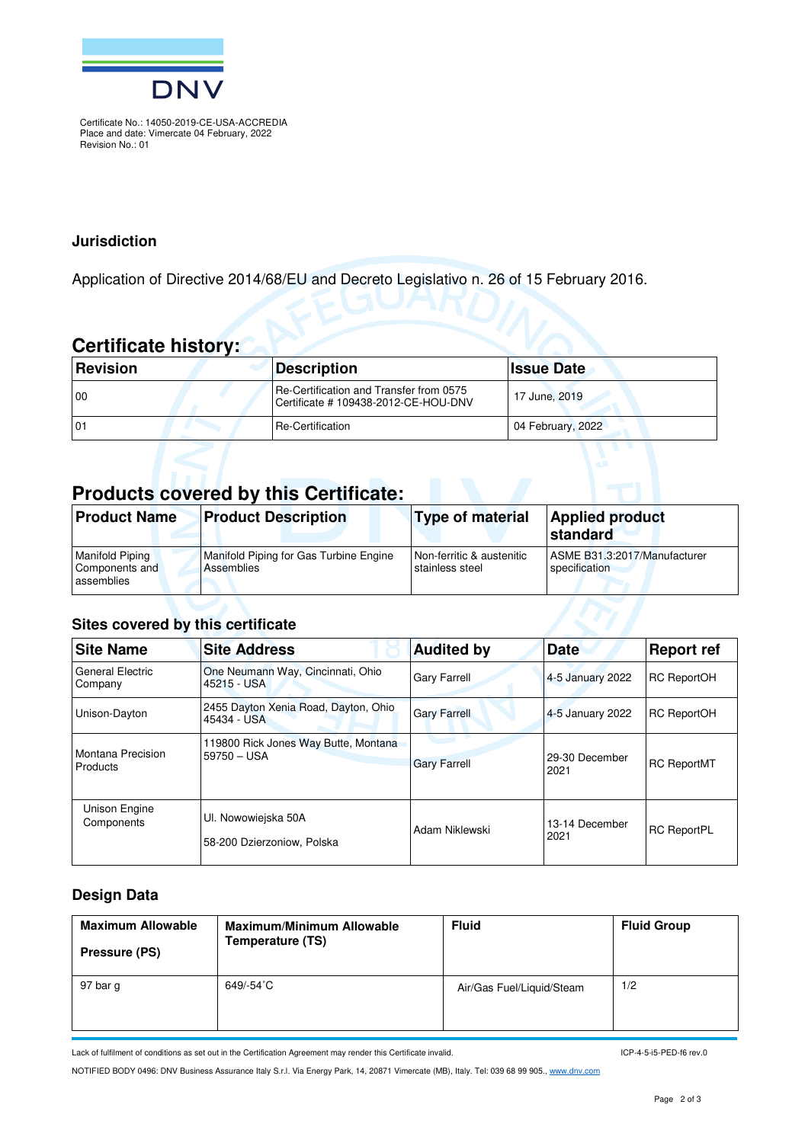

Certificate No.: 14050-2019-CE-USA-ACCREDIA Place and date: Vimercate 04 February, 2022 Revision No.: 01

#### **Jurisdiction**

Application of Directive 2014/68/EU and Decreto Legislativo n. 26 of 15 February 2016.

## **Certificate history:**

| <b>Revision</b> | <b>Description</b>                                                             | <b>Issue Date</b> |
|-----------------|--------------------------------------------------------------------------------|-------------------|
| $\overline{00}$ | Re-Certification and Transfer from 0575<br>Certificate #109438-2012-CE-HOU-DNV | 17 June, 2019     |
| 101             | Re-Certification                                                               | 04 February, 2022 |

## **Products covered by this Certificate:**

| <b>Product Name</b>                                    | <b>Product Description</b>                                  | <b>Type of material</b>                      | <b>Applied product</b><br>∣standard           |
|--------------------------------------------------------|-------------------------------------------------------------|----------------------------------------------|-----------------------------------------------|
| <b>Manifold Piping</b><br>Components and<br>assemblies | Manifold Piping for Gas Turbine Engine<br><b>Assemblies</b> | Non-ferritic & austenitic<br>stainless steel | ASME B31.3:2017/Manufacturer<br>specification |

#### **Sites covered by this certificate**

| <b>Site Name</b>                   | <b>Site Address</b>                                 | <b>Audited by</b>   | <b>Date</b>            | <b>Report ref</b>  |
|------------------------------------|-----------------------------------------------------|---------------------|------------------------|--------------------|
| <b>General Electric</b><br>Company | One Neumann Way, Cincinnati, Ohio<br>45215 - USA    | <b>Gary Farrell</b> | 4-5 January 2022       | <b>RC ReportOH</b> |
| Unison-Dayton                      | 2455 Dayton Xenia Road, Dayton, Ohio<br>45434 - USA | <b>Gary Farrell</b> | 4-5 January 2022       | <b>RC ReportOH</b> |
| Montana Precision<br>Products      | 119800 Rick Jones Way Butte, Montana<br>59750 - USA | <b>Gary Farrell</b> | 29-30 December<br>2021 | <b>RC ReportMT</b> |
| Unison Engine<br>Components        | UI. Nowowiejska 50A<br>58-200 Dzierzoniow, Polska   | Adam Niklewski      | 13-14 December<br>2021 | <b>RC ReportPL</b> |

#### **Design Data**

| <b>Maximum Allowable</b><br>Pressure (PS) | <b>Maximum/Minimum Allowable</b><br>Temperature (TS) | <b>Fluid</b>              | <b>Fluid Group</b> |
|-------------------------------------------|------------------------------------------------------|---------------------------|--------------------|
| 97 bar g                                  | 649/-54°C                                            | Air/Gas Fuel/Liquid/Steam | 1/2                |

Lack of fulfilment of conditions as set out in the Certification Agreement may render this Certificate invalid.

ICP-4-5-i5-PED-f6 rev.0

NOTIFIED BODY 0496: DNV Business Assurance Italy S.r.l. Via Energy Park, 14, 20871 Vimercate (MB), Italy. Tel: 039 68 99 905., www.dnv.com